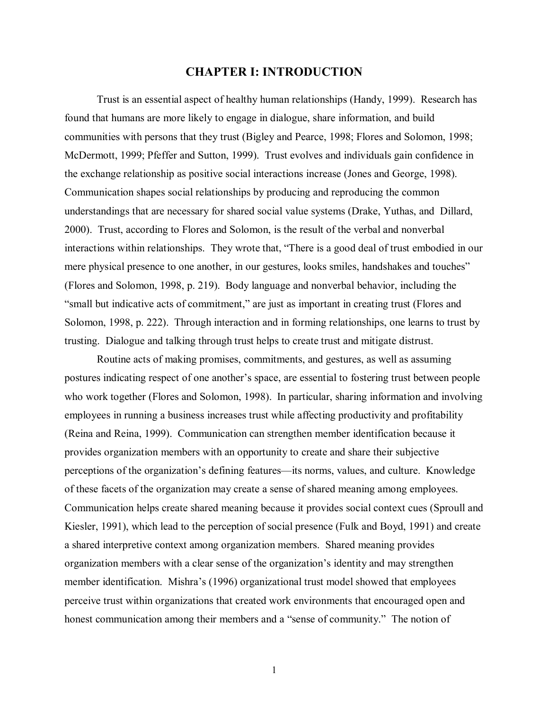## **CHAPTER I: INTRODUCTION**

Trust is an essential aspect of healthy human relationships (Handy, 1999). Research has found that humans are more likely to engage in dialogue, share information, and build communities with persons that they trust (Bigley and Pearce, 1998; Flores and Solomon, 1998; McDermott, 1999; Pfeffer and Sutton, 1999). Trust evolves and individuals gain confidence in the exchange relationship as positive social interactions increase (Jones and George, 1998). Communication shapes social relationships by producing and reproducing the common understandings that are necessary for shared social value systems (Drake, Yuthas, and Dillard, 2000). Trust, according to Flores and Solomon, is the result of the verbal and nonverbal interactions within relationships. They wrote that, "There is a good deal of trust embodied in our mere physical presence to one another, in our gestures, looks smiles, handshakes and touches" (Flores and Solomon, 1998, p. 219). Body language and nonverbal behavior, including the "small but indicative acts of commitment," are just as important in creating trust (Flores and Solomon, 1998, p. 222). Through interaction and in forming relationships, one learns to trust by trusting. Dialogue and talking through trust helps to create trust and mitigate distrust.

Routine acts of making promises, commitments, and gestures, as well as assuming postures indicating respect of one another's space, are essential to fostering trust between people who work together (Flores and Solomon, 1998). In particular, sharing information and involving employees in running a business increases trust while affecting productivity and profitability (Reina and Reina, 1999). Communication can strengthen member identification because it provides organization members with an opportunity to create and share their subjective perceptions of the organization's defining features—its norms, values, and culture. Knowledge of these facets of the organization may create a sense of shared meaning among employees. Communication helps create shared meaning because it provides social context cues (Sproull and Kiesler, 1991), which lead to the perception of social presence (Fulk and Boyd, 1991) and create a shared interpretive context among organization members. Shared meaning provides organization members with a clear sense of the organization's identity and may strengthen member identification. Mishra's (1996) organizational trust model showed that employees perceive trust within organizations that created work environments that encouraged open and honest communication among their members and a "sense of community." The notion of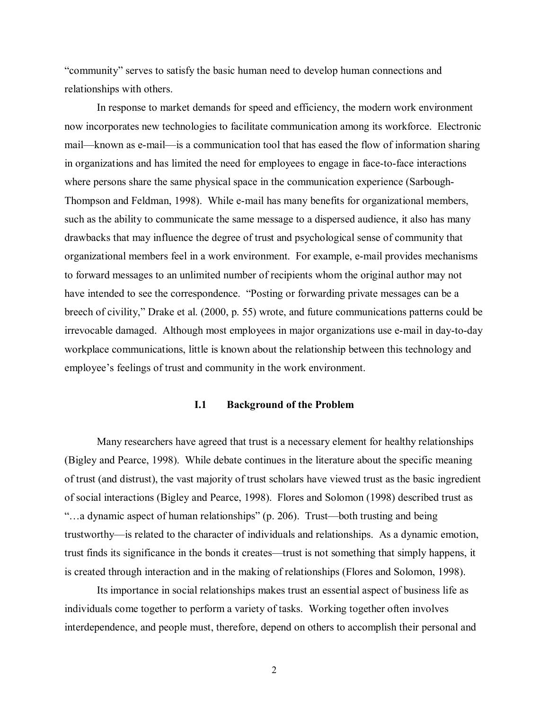"community" serves to satisfy the basic human need to develop human connections and relationships with others.

In response to market demands for speed and efficiency, the modern work environment now incorporates new technologies to facilitate communication among its workforce. Electronic mail—known as e-mail—is a communication tool that has eased the flow of information sharing in organizations and has limited the need for employees to engage in face-to-face interactions where persons share the same physical space in the communication experience (Sarbough-Thompson and Feldman, 1998). While e-mail has many benefits for organizational members, such as the ability to communicate the same message to a dispersed audience, it also has many drawbacks that may influence the degree of trust and psychological sense of community that organizational members feel in a work environment. For example, e-mail provides mechanisms to forward messages to an unlimited number of recipients whom the original author may not have intended to see the correspondence. "Posting or forwarding private messages can be a breech of civility," Drake et al. (2000, p. 55) wrote, and future communications patterns could be irrevocable damaged. Although most employees in major organizations use e-mail in day-to-day workplace communications, little is known about the relationship between this technology and employee's feelings of trust and community in the work environment.

## **I.1 Background of the Problem**

Many researchers have agreed that trust is a necessary element for healthy relationships (Bigley and Pearce, 1998). While debate continues in the literature about the specific meaning of trust (and distrust), the vast majority of trust scholars have viewed trust as the basic ingredient of social interactions (Bigley and Pearce, 1998). Flores and Solomon (1998) described trust as "…a dynamic aspect of human relationships" (p. 206). Trust—both trusting and being trustworthy—is related to the character of individuals and relationships. As a dynamic emotion, trust finds its significance in the bonds it creates—trust is not something that simply happens, it is created through interaction and in the making of relationships (Flores and Solomon, 1998).

Its importance in social relationships makes trust an essential aspect of business life as individuals come together to perform a variety of tasks. Working together often involves interdependence, and people must, therefore, depend on others to accomplish their personal and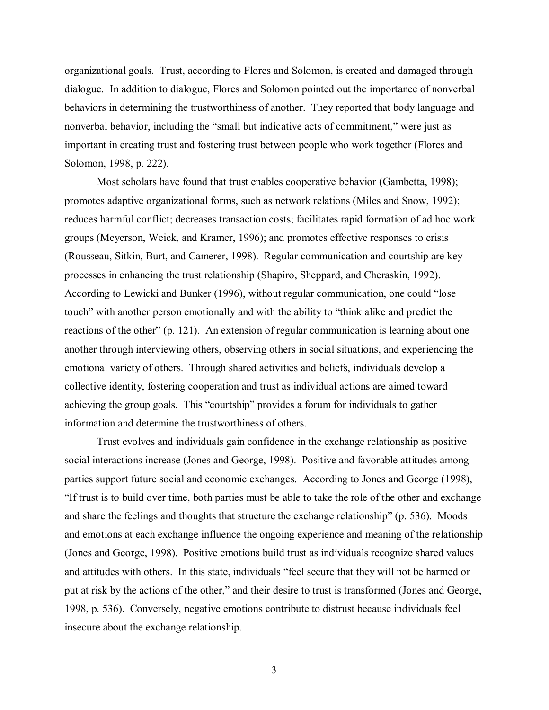organizational goals. Trust, according to Flores and Solomon, is created and damaged through dialogue. In addition to dialogue, Flores and Solomon pointed out the importance of nonverbal behaviors in determining the trustworthiness of another. They reported that body language and nonverbal behavior, including the "small but indicative acts of commitment," were just as important in creating trust and fostering trust between people who work together (Flores and Solomon, 1998, p. 222).

Most scholars have found that trust enables cooperative behavior (Gambetta, 1998); promotes adaptive organizational forms, such as network relations (Miles and Snow, 1992); reduces harmful conflict; decreases transaction costs; facilitates rapid formation of ad hoc work groups (Meyerson, Weick, and Kramer, 1996); and promotes effective responses to crisis (Rousseau, Sitkin, Burt, and Camerer, 1998). Regular communication and courtship are key processes in enhancing the trust relationship (Shapiro, Sheppard, and Cheraskin, 1992). According to Lewicki and Bunker (1996), without regular communication, one could "lose touch" with another person emotionally and with the ability to "think alike and predict the reactions of the other" (p. 121). An extension of regular communication is learning about one another through interviewing others, observing others in social situations, and experiencing the emotional variety of others. Through shared activities and beliefs, individuals develop a collective identity, fostering cooperation and trust as individual actions are aimed toward achieving the group goals. This "courtship" provides a forum for individuals to gather information and determine the trustworthiness of others.

Trust evolves and individuals gain confidence in the exchange relationship as positive social interactions increase (Jones and George, 1998). Positive and favorable attitudes among parties support future social and economic exchanges. According to Jones and George (1998), "If trust is to build over time, both parties must be able to take the role of the other and exchange and share the feelings and thoughts that structure the exchange relationship" (p. 536). Moods and emotions at each exchange influence the ongoing experience and meaning of the relationship (Jones and George, 1998). Positive emotions build trust as individuals recognize shared values and attitudes with others. In this state, individuals "feel secure that they will not be harmed or put at risk by the actions of the other," and their desire to trust is transformed (Jones and George, 1998, p. 536). Conversely, negative emotions contribute to distrust because individuals feel insecure about the exchange relationship.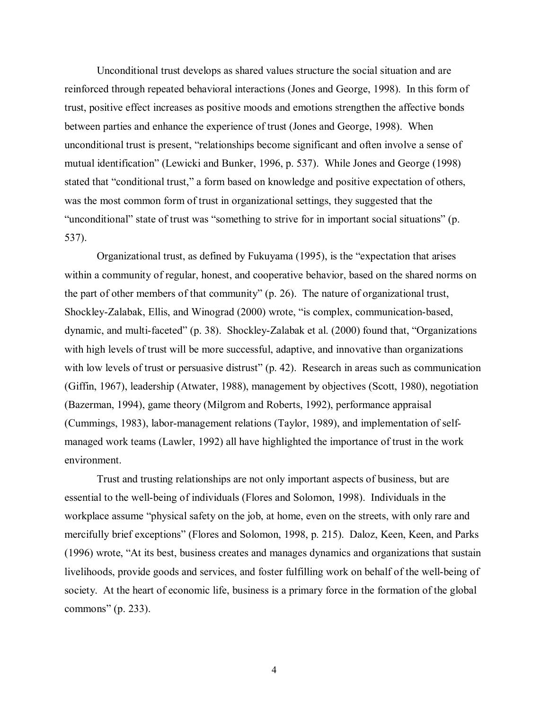Unconditional trust develops as shared values structure the social situation and are reinforced through repeated behavioral interactions (Jones and George, 1998). In this form of trust, positive effect increases as positive moods and emotions strengthen the affective bonds between parties and enhance the experience of trust (Jones and George, 1998). When unconditional trust is present, "relationships become significant and often involve a sense of mutual identification" (Lewicki and Bunker, 1996, p. 537). While Jones and George (1998) stated that "conditional trust," a form based on knowledge and positive expectation of others, was the most common form of trust in organizational settings, they suggested that the "unconditional" state of trust was "something to strive for in important social situations" (p. 537).

Organizational trust, as defined by Fukuyama (1995), is the "expectation that arises within a community of regular, honest, and cooperative behavior, based on the shared norms on the part of other members of that community" (p. 26). The nature of organizational trust, Shockley-Zalabak, Ellis, and Winograd (2000) wrote, "is complex, communication-based, dynamic, and multi-faceted" (p. 38). Shockley-Zalabak et al. (2000) found that, "Organizations with high levels of trust will be more successful, adaptive, and innovative than organizations with low levels of trust or persuasive distrust" (p. 42). Research in areas such as communication (Giffin, 1967), leadership (Atwater, 1988), management by objectives (Scott, 1980), negotiation (Bazerman, 1994), game theory (Milgrom and Roberts, 1992), performance appraisal (Cummings, 1983), labor-management relations (Taylor, 1989), and implementation of selfmanaged work teams (Lawler, 1992) all have highlighted the importance of trust in the work environment.

Trust and trusting relationships are not only important aspects of business, but are essential to the well-being of individuals (Flores and Solomon, 1998). Individuals in the workplace assume "physical safety on the job, at home, even on the streets, with only rare and mercifully brief exceptions" (Flores and Solomon, 1998, p. 215). Daloz, Keen, Keen, and Parks (1996) wrote, "At its best, business creates and manages dynamics and organizations that sustain livelihoods, provide goods and services, and foster fulfilling work on behalf of the well-being of society. At the heart of economic life, business is a primary force in the formation of the global commons" (p. 233).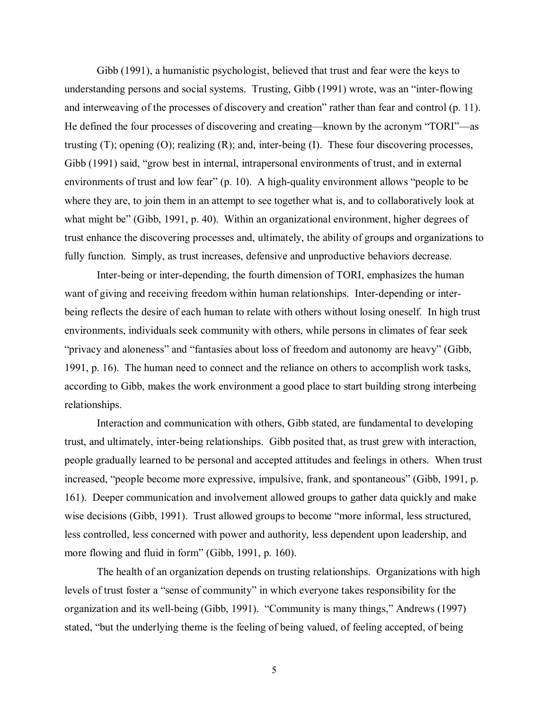Gibb (1991), a humanistic psychologist, believed that trust and fear were the keys to understanding persons and social systems. Trusting, Gibb (1991) wrote, was an "inter-flowing and interweaving of the processes of discovery and creation" rather than fear and control (p. 11). He defined the four processes of discovering and creating—known by the acronym "TORI"—as trusting (T); opening (O); realizing (R); and, inter-being (I). These four discovering processes, Gibb (1991) said, "grow best in internal, intrapersonal environments of trust, and in external environments of trust and low fear" (p. 10). A high-quality environment allows "people to be where they are, to join them in an attempt to see together what is, and to collaboratively look at what might be" (Gibb, 1991, p. 40). Within an organizational environment, higher degrees of trust enhance the discovering processes and, ultimately, the ability of groups and organizations to fully function. Simply, as trust increases, defensive and unproductive behaviors decrease.

Inter-being or inter-depending, the fourth dimension of TORI, emphasizes the human want of giving and receiving freedom within human relationships. Inter-depending or interbeing reflects the desire of each human to relate with others without losing oneself. In high trust environments, individuals seek community with others, while persons in climates of fear seek "privacy and aloneness" and "fantasies about loss of freedom and autonomy are heavy" (Gibb, 1991, p. 16). The human need to connect and the reliance on others to accomplish work tasks, according to Gibb, makes the work environment a good place to start building strong interbeing relationships.

Interaction and communication with others, Gibb stated, are fundamental to developing trust, and ultimately, inter-being relationships. Gibb posited that, as trust grew with interaction, people gradually learned to be personal and accepted attitudes and feelings in others. When trust increased, "people become more expressive, impulsive, frank, and spontaneous" (Gibb, 1991, p. 161). Deeper communication and involvement allowed groups to gather data quickly and make wise decisions (Gibb, 1991). Trust allowed groups to become "more informal, less structured, less controlled, less concerned with power and authority, less dependent upon leadership, and more flowing and fluid in form" (Gibb, 1991, p. 160).

The health of an organization depends on trusting relationships. Organizations with high levels of trust foster a "sense of community" in which everyone takes responsibility for the organization and its well-being (Gibb, 1991). "Community is many things," Andrews (1997) stated, "but the underlying theme is the feeling of being valued, of feeling accepted, of being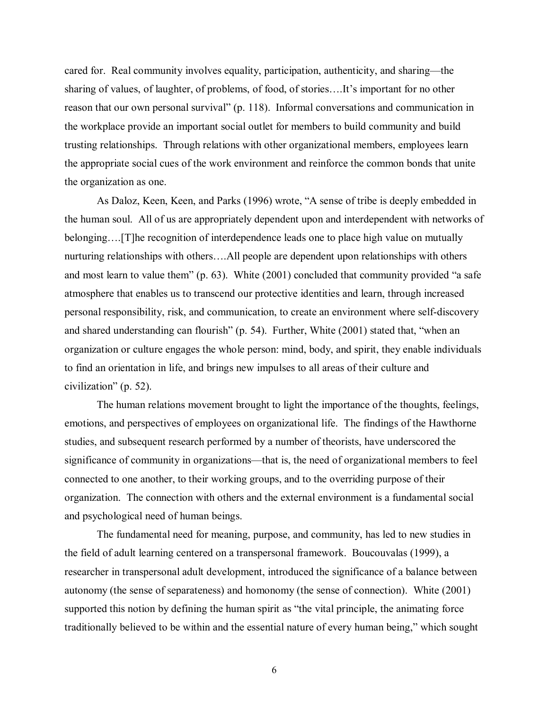cared for. Real community involves equality, participation, authenticity, and sharing—the sharing of values, of laughter, of problems, of food, of stories….It's important for no other reason that our own personal survival" (p. 118). Informal conversations and communication in the workplace provide an important social outlet for members to build community and build trusting relationships. Through relations with other organizational members, employees learn the appropriate social cues of the work environment and reinforce the common bonds that unite the organization as one.

As Daloz, Keen, Keen, and Parks (1996) wrote, "A sense of tribe is deeply embedded in the human soul. All of us are appropriately dependent upon and interdependent with networks of belonging….[T]he recognition of interdependence leads one to place high value on mutually nurturing relationships with others….All people are dependent upon relationships with others and most learn to value them" (p. 63). White (2001) concluded that community provided "a safe atmosphere that enables us to transcend our protective identities and learn, through increased personal responsibility, risk, and communication, to create an environment where self-discovery and shared understanding can flourish" (p. 54). Further, White (2001) stated that, "when an organization or culture engages the whole person: mind, body, and spirit, they enable individuals to find an orientation in life, and brings new impulses to all areas of their culture and civilization" (p. 52).

The human relations movement brought to light the importance of the thoughts, feelings, emotions, and perspectives of employees on organizational life. The findings of the Hawthorne studies, and subsequent research performed by a number of theorists, have underscored the significance of community in organizations—that is, the need of organizational members to feel connected to one another, to their working groups, and to the overriding purpose of their organization. The connection with others and the external environment is a fundamental social and psychological need of human beings.

The fundamental need for meaning, purpose, and community, has led to new studies in the field of adult learning centered on a transpersonal framework. Boucouvalas (1999), a researcher in transpersonal adult development, introduced the significance of a balance between autonomy (the sense of separateness) and homonomy (the sense of connection). White (2001) supported this notion by defining the human spirit as "the vital principle, the animating force traditionally believed to be within and the essential nature of every human being," which sought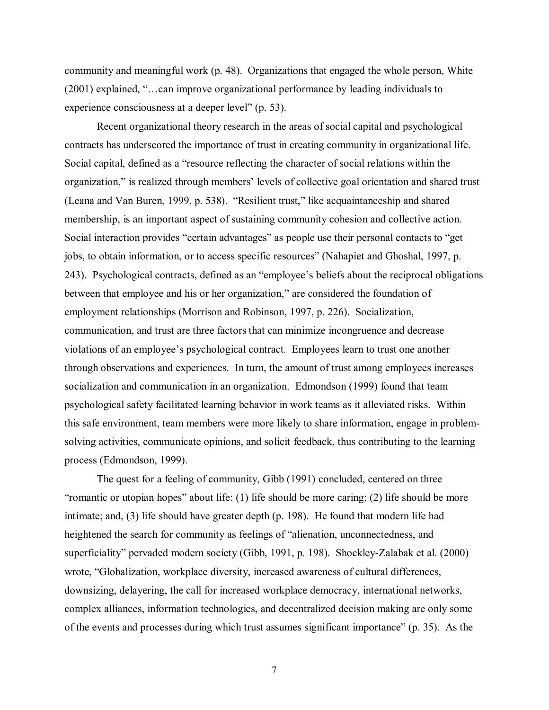community and meaningful work (p. 48). Organizations that engaged the whole person, White (2001) explained, "…can improve organizational performance by leading individuals to experience consciousness at a deeper level" (p. 53).

Recent organizational theory research in the areas of social capital and psychological contracts has underscored the importance of trust in creating community in organizational life. Social capital, defined as a "resource reflecting the character of social relations within the organization," is realized through members' levels of collective goal orientation and shared trust (Leana and Van Buren, 1999, p. 538). "Resilient trust," like acquaintanceship and shared membership, is an important aspect of sustaining community cohesion and collective action. Social interaction provides "certain advantages" as people use their personal contacts to "get jobs, to obtain information, or to access specific resources" (Nahapiet and Ghoshal, 1997, p. 243). Psychological contracts, defined as an "employee's beliefs about the reciprocal obligations between that employee and his or her organization," are considered the foundation of employment relationships (Morrison and Robinson, 1997, p. 226). Socialization, communication, and trust are three factors that can minimize incongruence and decrease violations of an employee's psychological contract. Employees learn to trust one another through observations and experiences. In turn, the amount of trust among employees increases socialization and communication in an organization. Edmondson (1999) found that team psychological safety facilitated learning behavior in work teams as it alleviated risks. Within this safe environment, team members were more likely to share information, engage in problemsolving activities, communicate opinions, and solicit feedback, thus contributing to the learning process (Edmondson, 1999).

The quest for a feeling of community, Gibb (1991) concluded, centered on three "romantic or utopian hopes" about life: (1) life should be more caring; (2) life should be more intimate; and, (3) life should have greater depth (p. 198). He found that modern life had heightened the search for community as feelings of "alienation, unconnectedness, and superficiality" pervaded modern society (Gibb, 1991, p. 198). Shockley-Zalabak et al. (2000) wrote, "Globalization, workplace diversity, increased awareness of cultural differences, downsizing, delayering, the call for increased workplace democracy, international networks, complex alliances, information technologies, and decentralized decision making are only some of the events and processes during which trust assumes significant importance" (p. 35). As the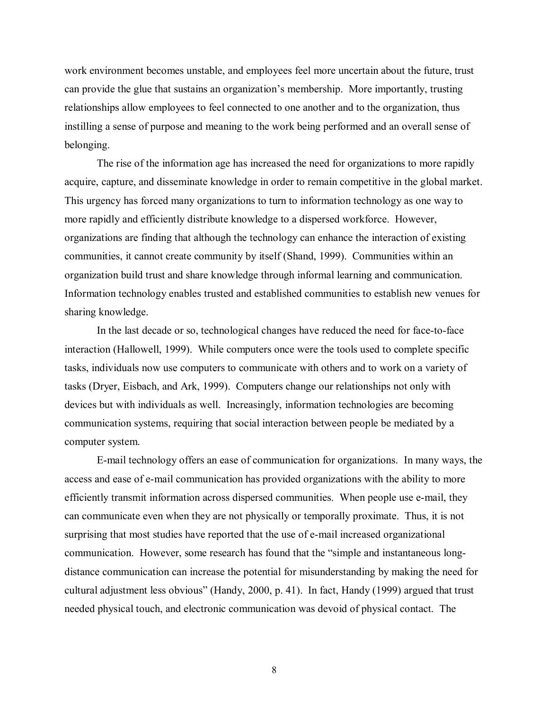work environment becomes unstable, and employees feel more uncertain about the future, trust can provide the glue that sustains an organization's membership. More importantly, trusting relationships allow employees to feel connected to one another and to the organization, thus instilling a sense of purpose and meaning to the work being performed and an overall sense of belonging.

The rise of the information age has increased the need for organizations to more rapidly acquire, capture, and disseminate knowledge in order to remain competitive in the global market. This urgency has forced many organizations to turn to information technology as one way to more rapidly and efficiently distribute knowledge to a dispersed workforce. However, organizations are finding that although the technology can enhance the interaction of existing communities, it cannot create community by itself (Shand, 1999). Communities within an organization build trust and share knowledge through informal learning and communication. Information technology enables trusted and established communities to establish new venues for sharing knowledge.

In the last decade or so, technological changes have reduced the need for face-to-face interaction (Hallowell, 1999). While computers once were the tools used to complete specific tasks, individuals now use computers to communicate with others and to work on a variety of tasks (Dryer, Eisbach, and Ark, 1999). Computers change our relationships not only with devices but with individuals as well. Increasingly, information technologies are becoming communication systems, requiring that social interaction between people be mediated by a computer system.

E-mail technology offers an ease of communication for organizations. In many ways, the access and ease of e-mail communication has provided organizations with the ability to more efficiently transmit information across dispersed communities. When people use e-mail, they can communicate even when they are not physically or temporally proximate. Thus, it is not surprising that most studies have reported that the use of e-mail increased organizational communication. However, some research has found that the "simple and instantaneous longdistance communication can increase the potential for misunderstanding by making the need for cultural adjustment less obvious" (Handy, 2000, p. 41). In fact, Handy (1999) argued that trust needed physical touch, and electronic communication was devoid of physical contact. The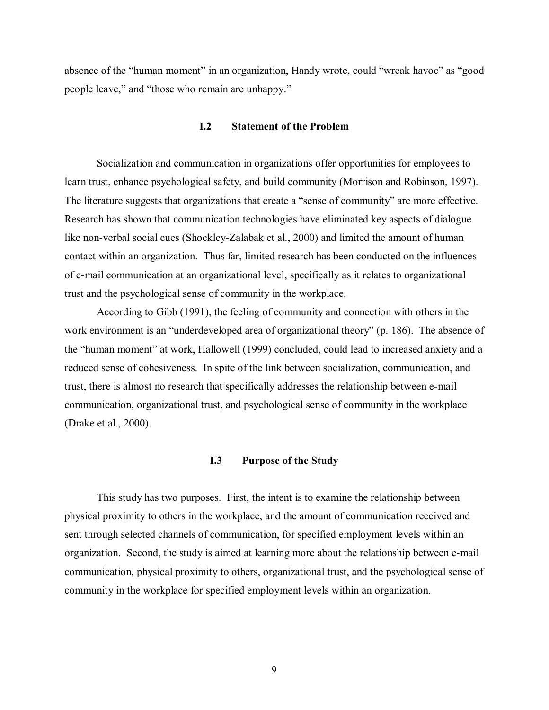absence of the "human moment" in an organization, Handy wrote, could "wreak havoc" as "good people leave," and "those who remain are unhappy."

#### **I.2 Statement of the Problem**

Socialization and communication in organizations offer opportunities for employees to learn trust, enhance psychological safety, and build community (Morrison and Robinson, 1997). The literature suggests that organizations that create a "sense of community" are more effective. Research has shown that communication technologies have eliminated key aspects of dialogue like non-verbal social cues (Shockley-Zalabak et al., 2000) and limited the amount of human contact within an organization. Thus far, limited research has been conducted on the influences of e-mail communication at an organizational level, specifically as it relates to organizational trust and the psychological sense of community in the workplace.

According to Gibb (1991), the feeling of community and connection with others in the work environment is an "underdeveloped area of organizational theory" (p. 186). The absence of the "human moment" at work, Hallowell (1999) concluded, could lead to increased anxiety and a reduced sense of cohesiveness. In spite of the link between socialization, communication, and trust, there is almost no research that specifically addresses the relationship between e-mail communication, organizational trust, and psychological sense of community in the workplace (Drake et al., 2000).

## **I.3 Purpose of the Study**

This study has two purposes. First, the intent is to examine the relationship between physical proximity to others in the workplace, and the amount of communication received and sent through selected channels of communication, for specified employment levels within an organization. Second, the study is aimed at learning more about the relationship between e-mail communication, physical proximity to others, organizational trust, and the psychological sense of community in the workplace for specified employment levels within an organization.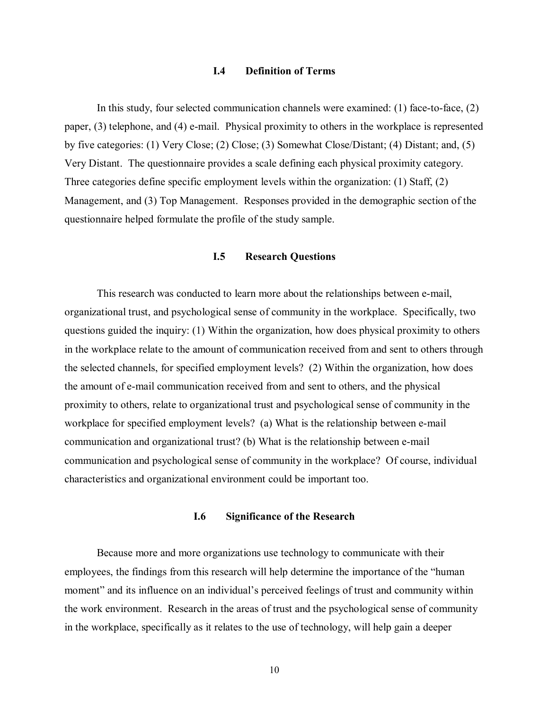## **I.4 Definition of Terms**

In this study, four selected communication channels were examined: (1) face-to-face, (2) paper, (3) telephone, and (4) e-mail. Physical proximity to others in the workplace is represented by five categories: (1) Very Close; (2) Close; (3) Somewhat Close/Distant; (4) Distant; and, (5) Very Distant. The questionnaire provides a scale defining each physical proximity category. Three categories define specific employment levels within the organization: (1) Staff, (2) Management, and (3) Top Management. Responses provided in the demographic section of the questionnaire helped formulate the profile of the study sample.

# **I.5 Research Questions**

This research was conducted to learn more about the relationships between e-mail, organizational trust, and psychological sense of community in the workplace. Specifically, two questions guided the inquiry: (1) Within the organization, how does physical proximity to others in the workplace relate to the amount of communication received from and sent to others through the selected channels, for specified employment levels? (2) Within the organization, how does the amount of e-mail communication received from and sent to others, and the physical proximity to others, relate to organizational trust and psychological sense of community in the workplace for specified employment levels? (a) What is the relationship between e-mail communication and organizational trust? (b) What is the relationship between e-mail communication and psychological sense of community in the workplace? Of course, individual characteristics and organizational environment could be important too.

#### **I.6 Significance of the Research**

Because more and more organizations use technology to communicate with their employees, the findings from this research will help determine the importance of the "human moment" and its influence on an individual's perceived feelings of trust and community within the work environment. Research in the areas of trust and the psychological sense of community in the workplace, specifically as it relates to the use of technology, will help gain a deeper